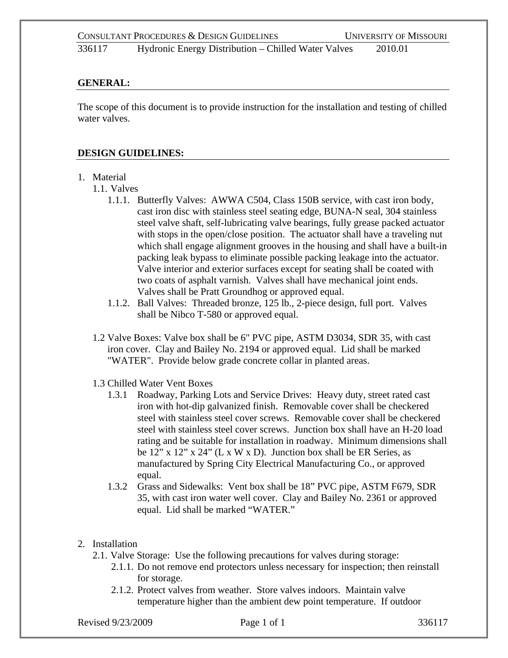### **GENERAL:**

The scope of this document is to provide instruction for the installation and testing of chilled water valves.

### **DESIGN GUIDELINES:**

## 1. Material

- 1.1. Valves
	- 1.1.1. Butterfly Valves: AWWA C504, Class 150B service, with cast iron body, cast iron disc with stainless steel seating edge, BUNA-N seal, 304 stainless steel valve shaft, self-lubricating valve bearings, fully grease packed actuator with stops in the open/close position. The actuator shall have a traveling nut which shall engage alignment grooves in the housing and shall have a built-in packing leak bypass to eliminate possible packing leakage into the actuator. Valve interior and exterior surfaces except for seating shall be coated with two coats of asphalt varnish. Valves shall have mechanical joint ends. Valves shall be Pratt Groundhog or approved equal.
	- 1.1.2. Ball Valves: Threaded bronze, 125 lb., 2-piece design, full port. Valves shall be Nibco T-580 or approved equal.
- 1.2 Valve Boxes: Valve box shall be 6" PVC pipe, ASTM D3034, SDR 35, with cast iron cover. Clay and Bailey No. 2194 or approved equal. Lid shall be marked "WATER". Provide below grade concrete collar in planted areas.
- 1.3 Chilled Water Vent Boxes
	- 1.3.1 Roadway, Parking Lots and Service Drives: Heavy duty, street rated cast iron with hot-dip galvanized finish. Removable cover shall be checkered steel with stainless steel cover screws. Removable cover shall be checkered steel with stainless steel cover screws. Junction box shall have an H-20 load rating and be suitable for installation in roadway. Minimum dimensions shall be 12" x 12" x 24" (L x W x D). Junction box shall be ER Series, as manufactured by Spring City Electrical Manufacturing Co., or approved equal.
	- 1.3.2 Grass and Sidewalks: Vent box shall be 18" PVC pipe, ASTM F679, SDR 35, with cast iron water well cover. Clay and Bailey No. 2361 or approved equal. Lid shall be marked "WATER."
- 2. Installation
	- 2.1. Valve Storage: Use the following precautions for valves during storage:
		- 2.1.1. Do not remove end protectors unless necessary for inspection; then reinstall for storage.
		- 2.1.2. Protect valves from weather. Store valves indoors. Maintain valve temperature higher than the ambient dew point temperature. If outdoor

Revised 9/23/2009 **Page 1 of 1** 336117